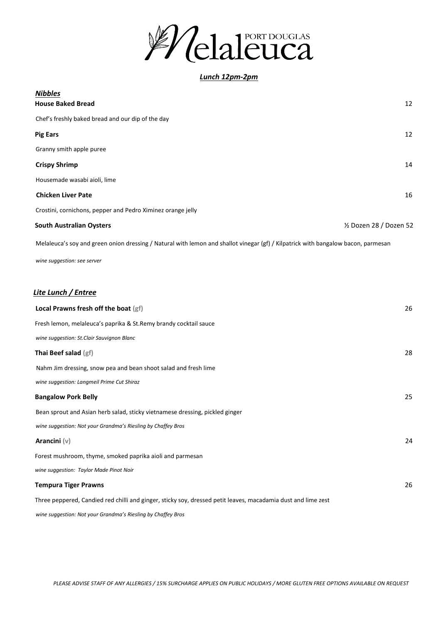

*Lunch 12pm-2pm*

| <b>Nibbles</b><br><b>House Baked Bread</b>                                                                                        | 12                      |
|-----------------------------------------------------------------------------------------------------------------------------------|-------------------------|
| Chef's freshly baked bread and our dip of the day                                                                                 |                         |
| <b>Pig Ears</b>                                                                                                                   | 12                      |
| Granny smith apple puree                                                                                                          |                         |
| <b>Crispy Shrimp</b>                                                                                                              | 14                      |
| Housemade wasabi aioli, lime                                                                                                      |                         |
| <b>Chicken Liver Pate</b>                                                                                                         | 16                      |
| Crostini, cornichons, pepper and Pedro Ximinez orange jelly                                                                       |                         |
| <b>South Australian Oysters</b>                                                                                                   | 1/2 Dozen 28 / Dozen 52 |
| Melaleuca's soy and green onion dressing / Natural with lemon and shallot vinegar (gf) / Kilpatrick with bangalow bacon, parmesan |                         |
| wine suggestion: see server                                                                                                       |                         |
|                                                                                                                                   |                         |
| Lite Lunch / Entree                                                                                                               |                         |
| Local Prawns fresh off the boat (gf)                                                                                              | 26                      |
| Fresh lemon, melaleuca's paprika & St.Remy brandy cocktail sauce                                                                  |                         |
| wine suggestion: St.Clair Sauvignon Blanc                                                                                         |                         |
| Thai Beef salad (gf)                                                                                                              | 28                      |
| Nahm Jim dressing, snow pea and bean shoot salad and fresh lime                                                                   |                         |
| wine suggestion: Langmeil Prime Cut Shiraz                                                                                        |                         |
| <b>Bangalow Pork Belly</b>                                                                                                        | 25                      |
| Bean sprout and Asian herb salad, sticky vietnamese dressing, pickled ginger                                                      |                         |
| wine suggestion: Not your Grandma's Riesling by Chaffey Bros                                                                      |                         |
| Arancini $(v)$                                                                                                                    | 24                      |
| Forest mushroom, thyme, smoked paprika aioli and parmesan                                                                         |                         |
| wine suggestion: Taylor Made Pinot Noir                                                                                           |                         |
| <b>Tempura Tiger Prawns</b>                                                                                                       | 26                      |
| Three peppered, Candied red chilli and ginger, sticky soy, dressed petit leaves, macadamia dust and lime zest                     |                         |
| wine suggestion: Not your Grandma's Riesling by Chaffey Bros                                                                      |                         |